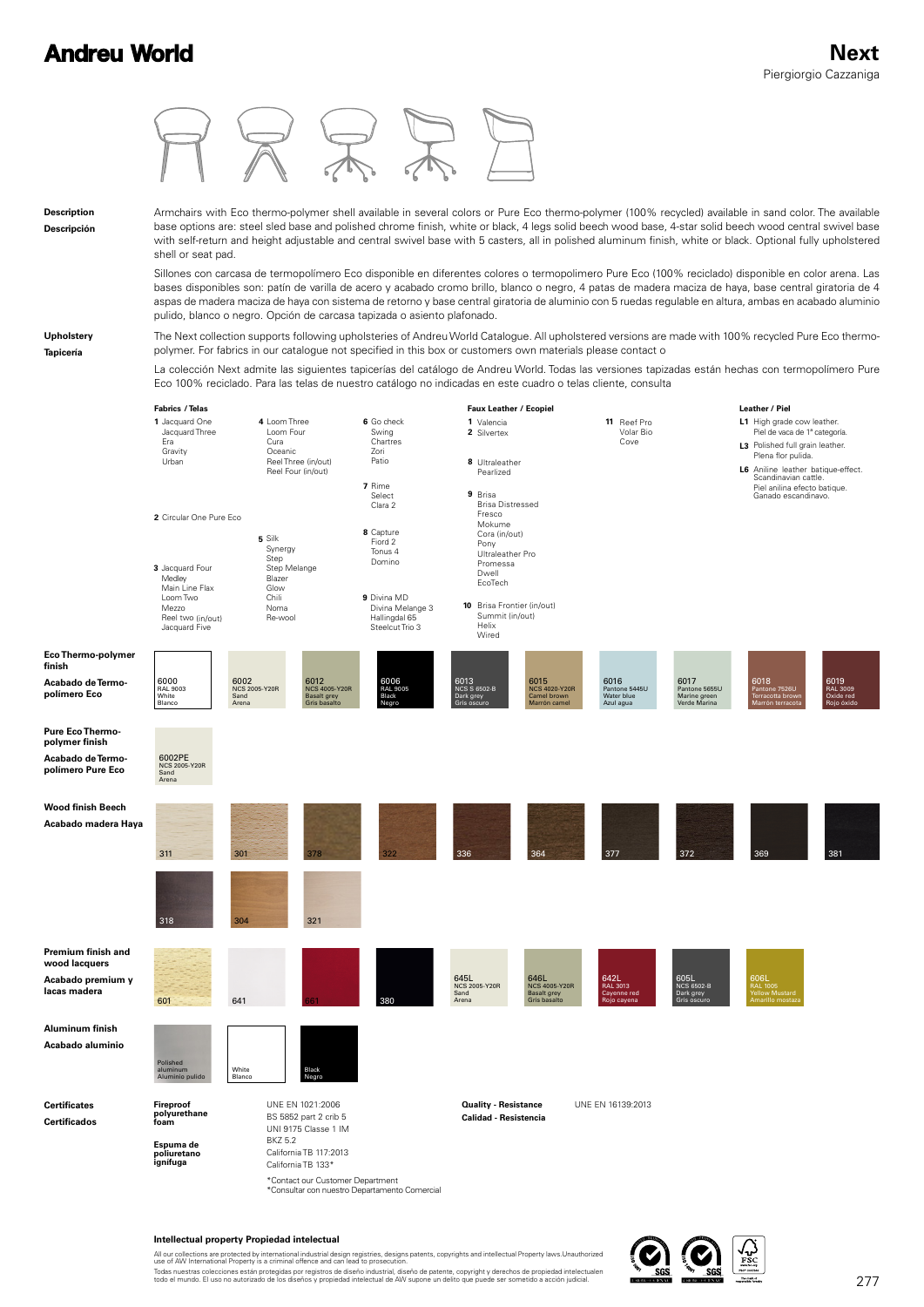| <b>Description</b><br>Descripción                        | shell or seat pad.                     | Armchairs with Eco thermo-polymer shell available in several colors or Pure Eco thermo-polymer (100% recycled) available in sand color. The available<br>base options are: steel sled base and polished chrome finish, white or black, 4 legs solid beech wood base, 4-star solid beech wood central swivel base<br>with self-return and height adjustable and central swivel base with 5 casters, all in polished aluminum finish, white or black. Optional fully upholstered                                                                     |                                                  |                                                                 |                                                                                                         |                                                       |                                                                                             |                                                    |
|----------------------------------------------------------|----------------------------------------|----------------------------------------------------------------------------------------------------------------------------------------------------------------------------------------------------------------------------------------------------------------------------------------------------------------------------------------------------------------------------------------------------------------------------------------------------------------------------------------------------------------------------------------------------|--------------------------------------------------|-----------------------------------------------------------------|---------------------------------------------------------------------------------------------------------|-------------------------------------------------------|---------------------------------------------------------------------------------------------|----------------------------------------------------|
|                                                          |                                        | Sillones con carcasa de termopolímero Eco disponible en diferentes colores o termopolimero Pure Eco (100% reciclado) disponible en color arena. Las<br>bases disponibles son: patín de varilla de acero y acabado cromo brillo, blanco o negro, 4 patas de madera maciza de haya, base central giratoria de 4<br>aspas de madera maciza de haya con sistema de retorno y base central giratoria de aluminio con 5 ruedas regulable en altura, ambas en acabado aluminio<br>pulido, blanco o negro. Opción de carcasa tapizada o asiento plafonado. |                                                  |                                                                 |                                                                                                         |                                                       |                                                                                             |                                                    |
| Upholstery<br>Tapicería                                  |                                        | The Next collection supports following upholsteries of Andreu World Catalogue. All upholstered versions are made with 100% recycled Pure Eco thermo-<br>polymer. For fabrics in our catalogue not specified in this box or customers own materials please contact o                                                                                                                                                                                                                                                                                |                                                  |                                                                 |                                                                                                         |                                                       |                                                                                             |                                                    |
|                                                          |                                        | La colección Next admite las siguientes tapicerías del catálogo de Andreu World. Todas las versiones tapizadas están hechas con termopolímero Pure<br>Eco 100% reciclado. Para las telas de nuestro catálogo no indicadas en este cuadro o telas cliente, consulta                                                                                                                                                                                                                                                                                 |                                                  |                                                                 |                                                                                                         |                                                       |                                                                                             |                                                    |
|                                                          | <b>Fabrics / Telas</b>                 |                                                                                                                                                                                                                                                                                                                                                                                                                                                                                                                                                    |                                                  | Faux Leather / Ecopiel                                          |                                                                                                         |                                                       | Leather / Piel                                                                              |                                                    |
|                                                          | 1 Jacquard One<br>Jacquard Three       | 4 Loom Three<br>Loom Four<br>Cura                                                                                                                                                                                                                                                                                                                                                                                                                                                                                                                  | 6 Go check<br>Swing<br>Chartres                  | 1 Valencia<br>2 Silvertex                                       | 11 Reef Pro<br>Volar Bio<br>Cove                                                                        |                                                       | L1 High grade cow leather.<br>Piel de vaca de 1ª categoría.                                 |                                                    |
|                                                          | Era<br>Gravity<br>Urban                | Oceanic<br>Reel Three (in/out)<br>Reel Four (in/out)                                                                                                                                                                                                                                                                                                                                                                                                                                                                                               | Zori<br>Patio                                    | 8 Ultraleather<br>Pearlized                                     |                                                                                                         |                                                       | L3 Polished full grain leather.<br>Plena flor pulida.<br>L6 Aniline leather batique-effect. |                                                    |
|                                                          |                                        |                                                                                                                                                                                                                                                                                                                                                                                                                                                                                                                                                    | 7 Rime<br>Select                                 | 9 Brisa                                                         |                                                                                                         |                                                       | Scandinavian cattle.<br>Piel anilina efecto batique.<br>Ganado escandinavo.                 |                                                    |
|                                                          | 2 Circular One Pure Eco                |                                                                                                                                                                                                                                                                                                                                                                                                                                                                                                                                                    | Clara 2                                          | <b>Brisa Distressed</b><br>Fresco<br>Mokume                     |                                                                                                         |                                                       |                                                                                             |                                                    |
|                                                          |                                        | 5 Silk                                                                                                                                                                                                                                                                                                                                                                                                                                                                                                                                             | 8 Capture<br>Fiord 2                             | Cora (in/out)<br>Pony                                           |                                                                                                         |                                                       |                                                                                             |                                                    |
|                                                          | 3 Jacquard Four                        | Synergy<br>Step<br>Step Melange                                                                                                                                                                                                                                                                                                                                                                                                                                                                                                                    | Tonus 4<br>Domino                                | Ultraleather Pro<br>Promessa                                    |                                                                                                         |                                                       |                                                                                             |                                                    |
|                                                          | Medley<br>Main Line Flax               | Blazer<br>Glow                                                                                                                                                                                                                                                                                                                                                                                                                                                                                                                                     |                                                  | Dwell<br>EcoTech                                                |                                                                                                         |                                                       |                                                                                             |                                                    |
|                                                          | Loom Two<br>Mezzo<br>Reel two (in/out) | Chili<br>Noma<br>Re-wool                                                                                                                                                                                                                                                                                                                                                                                                                                                                                                                           | 9 Divina MD<br>Divina Melange 3<br>Hallingdal 65 | 10 Brisa Frontier (in/out)<br>Summit (in/out)                   |                                                                                                         |                                                       |                                                                                             |                                                    |
|                                                          | Jacquard Five                          |                                                                                                                                                                                                                                                                                                                                                                                                                                                                                                                                                    | Steelcut Trio 3                                  | Helix<br>Wired                                                  |                                                                                                         |                                                       |                                                                                             |                                                    |
| Eco Thermo-polymer<br>finish                             |                                        |                                                                                                                                                                                                                                                                                                                                                                                                                                                                                                                                                    |                                                  |                                                                 |                                                                                                         |                                                       |                                                                                             |                                                    |
| Acabado de Termo-<br>polímero Eco                        | 6000<br>RAL 9003<br>White<br>Blanco    | 6002<br>6012<br><b>NCS 2005-Y20R</b><br><b>NCS 4005-Y20R</b><br>Sand<br><b>Basalt grey</b><br>Arena<br>Gris basalto                                                                                                                                                                                                                                                                                                                                                                                                                                | 6006<br><b>RAL 9005</b><br><b>Black</b><br>Negro | 6013<br>6015<br><b>NCS S 6502-B</b><br>Dark grey<br>Gris oscuro | 6016<br><b>NCS 4020-Y20R</b><br>Pantone 5445U<br>Camel brown<br>Water blue<br>Marrón camel<br>Azul agua | 6017<br>Pantone 5655U<br>Marine green<br>Verde Marina | 6018<br>Pantone 7526U<br>Terracotta brow<br>Marrón terracota                                | 6019<br><b>RAL 3009</b><br>Oxide red<br>Rojo óxido |
| Pure Eco Thermo-                                         |                                        |                                                                                                                                                                                                                                                                                                                                                                                                                                                                                                                                                    |                                                  |                                                                 |                                                                                                         |                                                       |                                                                                             |                                                    |
| polymer finish<br>Acabado de Termo-<br>polímero Pure Eco | 6002PE<br><b>NCS 2005-Y20R</b><br>Sand |                                                                                                                                                                                                                                                                                                                                                                                                                                                                                                                                                    |                                                  |                                                                 |                                                                                                         |                                                       |                                                                                             |                                                    |
| Wood finish Beech                                        | Arena                                  |                                                                                                                                                                                                                                                                                                                                                                                                                                                                                                                                                    |                                                  |                                                                 |                                                                                                         |                                                       |                                                                                             |                                                    |
| Acabado madera Haya                                      |                                        |                                                                                                                                                                                                                                                                                                                                                                                                                                                                                                                                                    |                                                  |                                                                 |                                                                                                         |                                                       |                                                                                             |                                                    |
|                                                          | 311                                    | 301<br>378                                                                                                                                                                                                                                                                                                                                                                                                                                                                                                                                         | 322                                              | 336<br>364                                                      | 377                                                                                                     | 372                                                   | 369                                                                                         | 381                                                |
|                                                          |                                        |                                                                                                                                                                                                                                                                                                                                                                                                                                                                                                                                                    |                                                  |                                                                 |                                                                                                         |                                                       |                                                                                             |                                                    |
|                                                          | 318                                    | 304<br>321                                                                                                                                                                                                                                                                                                                                                                                                                                                                                                                                         |                                                  |                                                                 |                                                                                                         |                                                       |                                                                                             |                                                    |
| Premium finish and                                       |                                        |                                                                                                                                                                                                                                                                                                                                                                                                                                                                                                                                                    |                                                  |                                                                 |                                                                                                         |                                                       |                                                                                             |                                                    |
| wood lacquers                                            |                                        |                                                                                                                                                                                                                                                                                                                                                                                                                                                                                                                                                    |                                                  | 645L<br>646L                                                    | 642L                                                                                                    | 605L                                                  |                                                                                             |                                                    |
| Acabado premium y<br>lacas madera                        | 601                                    | 641                                                                                                                                                                                                                                                                                                                                                                                                                                                                                                                                                | 380                                              | <b>NCS 2005-Y20R</b><br>Sand<br>Arena                           | <b>NCS 4005-Y20R</b><br><b>RAL 3013</b><br>Basalt grey<br>Gris basalto<br>Cayenne red<br>Rojo cayena    | <b>NCS 6502-B</b><br>Dark grey<br>Gris oscuro         | 606L<br>RAL 1005<br>Yellow Mustard                                                          |                                                    |
| Aluminum finish                                          |                                        |                                                                                                                                                                                                                                                                                                                                                                                                                                                                                                                                                    |                                                  |                                                                 |                                                                                                         |                                                       |                                                                                             |                                                    |
| Acabado aluminio                                         | Polished                               |                                                                                                                                                                                                                                                                                                                                                                                                                                                                                                                                                    |                                                  |                                                                 |                                                                                                         |                                                       |                                                                                             |                                                    |
|                                                          | aluminum<br>Aluminio pulido            | White<br>Black<br>Blanco<br>Negro                                                                                                                                                                                                                                                                                                                                                                                                                                                                                                                  |                                                  |                                                                 |                                                                                                         |                                                       |                                                                                             |                                                    |
| <b>Certificates</b>                                      | Fireproof                              | UNE EN 1021:2006                                                                                                                                                                                                                                                                                                                                                                                                                                                                                                                                   |                                                  | <b>Quality - Resistance</b>                                     | UNE EN 16139:2013                                                                                       |                                                       |                                                                                             |                                                    |
| <b>Certificados</b>                                      | polyurethane<br>foam                   | BS 5852 part 2 crib 5<br>UNI 9175 Classe 1 IM                                                                                                                                                                                                                                                                                                                                                                                                                                                                                                      |                                                  | <b>Calidad - Resistencia</b>                                    |                                                                                                         |                                                       |                                                                                             |                                                    |
|                                                          | Espuma de<br>poliuretano               | <b>BKZ 5.2</b><br>California TB 117:2013                                                                                                                                                                                                                                                                                                                                                                                                                                                                                                           |                                                  |                                                                 |                                                                                                         |                                                       |                                                                                             |                                                    |
|                                                          | ignífuga                               | California TB 133*                                                                                                                                                                                                                                                                                                                                                                                                                                                                                                                                 |                                                  |                                                                 |                                                                                                         |                                                       |                                                                                             |                                                    |
|                                                          |                                        | *Contact our Customer Department                                                                                                                                                                                                                                                                                                                                                                                                                                                                                                                   | *Consultar con nuestro Departamento Comercial    |                                                                 |                                                                                                         |                                                       |                                                                                             |                                                    |

#### **Intellectual property Propiedad intelectual**

All our collections are protected by international industrial design registries, designs patents, copyrights and intellectual Property laws.Unauthorized<br>Todas nuestras collectiones están protegidas por registros de diseño

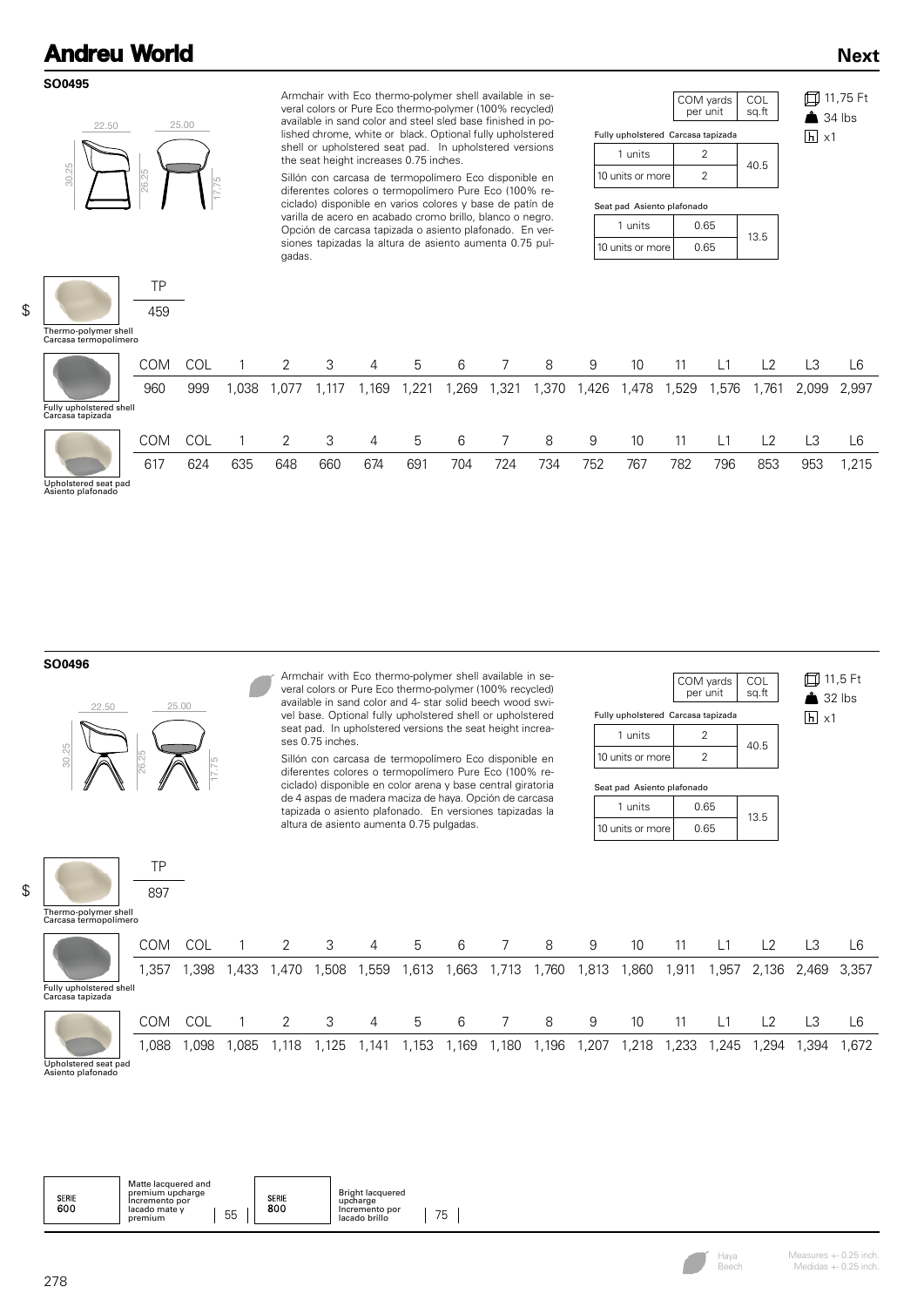#### **SO0495**

30.25 22.50 25.00 26.25 17.75

> TP 459

Armchair with Eco thermo-polymer shell available in several colors or Pure Eco thermo-polymer (100% recycled) available in sand color and steel sled base finished in polished chrome, white or black. Optional fully upholstered shell or upholstered seat pad. In upholstered versions the seat height increases 0.75 inches.

Sillón con carcasa de termopolímero Eco disponible en diferentes colores o termopolímero Pure Eco (100% reciclado) disponible en varios colores y base de patín de varilla de acero en acabado cromo brillo, blanco o negro. Opción de carcasa tapizada o asiento plafonado. En versiones tapizadas la altura de asiento aumenta 0.75 pulgadas.

|                                    | COM yards<br>per unit | COL<br>sq.ft |  |  |  |  |  |
|------------------------------------|-----------------------|--------------|--|--|--|--|--|
| Fully upholstered Carcasa tapizada |                       |              |  |  |  |  |  |
| 1 units                            | 2                     |              |  |  |  |  |  |
| 10 units or more                   |                       | 40.5         |  |  |  |  |  |

0.65

13.5

10 units or more

1 units 0.65

Seat pad Asiento plafonado

|                | 口 11,75 Ft         |
|----------------|--------------------|
|                | $\triangle$ 34 lbs |
| $ h  \times 1$ |                    |

| ł<br>I<br>×<br>۰.<br>۰, |  |
|-------------------------|--|

| Thermo-polymer shell |  |
|----------------------|--|

| Carcasa termopolímero                       |            |     |       |      |     |      |       |      |       |       |       |       |      |      |                |             |       |
|---------------------------------------------|------------|-----|-------|------|-----|------|-------|------|-------|-------|-------|-------|------|------|----------------|-------------|-------|
|                                             | <b>COM</b> | COL |       | 2    | 3   | 4    | 5     | 6    |       | 8     | 9     | 10    | 11   |      | L <sub>2</sub> | LЗ          | L6    |
|                                             | 960        | 999 | 0.038 | ,077 | 117 | .169 | 221,، | ,269 | 321,' | 1,370 | 1,426 | 1,478 | ,529 | ,576 | .761           | 2,099 2,997 |       |
| Fully upholstered shell<br>Carcasa tapizada |            |     |       |      |     |      |       |      |       |       |       |       |      |      |                |             |       |
|                                             | <b>COM</b> | COL |       | 2    | 3   | 4    | 5     | 6    |       | 8     | 9     | 10    | 11   |      | L <sub>2</sub> | L3          | ∟6    |
|                                             | 617        | 624 | 635   | 648  | 660 | 674  | 691   | 704  | 724   | 734   | 752   | 767   | 782  | 796  | 853            | 953         | 1,215 |
| Upholstered seat pad<br>Asiento plafonado   |            |     |       |      |     |      |       |      |       |       |       |       |      |      |                |             |       |

**SO0496**



TP 897 Armchair with Eco thermo-polymer shell available in several colors or Pure Eco thermo-polymer (100% recycled) available in sand color and 4- star solid beech wood swivel base. Optional fully upholstered shell or upholstered seat pad. In upholstered versions the seat height increases 0.75 inches.

Sillón con carcasa de termopolímero Eco disponible en diferentes colores o termopolímero Pure Eco (100% reciclado) disponible en color arena y base central giratoria de 4 aspas de madera maciza de haya. Opción de carcasa tapizada o asiento plafonado. En versiones tapizadas la altura de asiento aumenta 0.75 pulgadas.

|                                    | COM yards<br>per unit | COL<br>sq.ft |  |
|------------------------------------|-----------------------|--------------|--|
| Fully upholstered Carcasa tapizada |                       |              |  |
| 1 units                            |                       | 40.5         |  |
| 10 units or more                   |                       |              |  |
| Seat pad Asiento plafonado         |                       |              |  |

0.65

13.5

10 units or more

1 units 0.65

 $\Box$  11,5 Ft  $32$  lbs  $\overline{h}$  x1

Thermo-polymer shell Carcasa termopolímero

\$

|                                             | <b>COM</b> | COL      |       | 3                   | 4     | ხ           | -6    |                 | 8     | -9         | 10    | 11    |      | L <sub>2</sub> | L3                | L6     |
|---------------------------------------------|------------|----------|-------|---------------------|-------|-------------|-------|-----------------|-------|------------|-------|-------|------|----------------|-------------------|--------|
|                                             | .357       | $.398$ 1 | ,433  | 1,470 1,508         | 1,559 | 1,613       | 1,663 | 1,713           | 1,760 | $1,813$ 1. | ,860  | 1,911 | ,957 |                | 2,136 2,469 3,357 |        |
| Fully upholstered shell<br>Carcasa tapizada |            |          |       |                     |       |             |       |                 |       |            |       |       |      |                |                   |        |
|                                             | <b>COM</b> | COL      |       | $1 \quad 2 \quad 3$ | 4     |             | 5 6   | $7\overline{7}$ | - 8   | -9         | 10    | -11   | L1   | L2             |                   | ∟6     |
|                                             | .088       | .098     | 0.085 | 1,118 1,125         | 141.  | 1,153 1,169 |       | 1,180           | 1,196 | 1,207      | 1,218 | 1,233 | ,245 | .294           | 394,              | .672 ا |
| Upholstered seat pad<br>Antoneo platopoda   |            |          |       |                     |       |             |       |                 |       |            |       |       |      |                |                   |        |

Asiento plafonado

| Matte lacquered and<br>premium upcharge<br><b>SERIE</b><br>Incremento por<br>600<br>lacado mate v<br>55<br>premium | <b>SERIE</b><br>800 | <b>Bright lacquered</b><br>upcharge<br>Incremento por<br>lacado brillo | 75 |
|--------------------------------------------------------------------------------------------------------------------|---------------------|------------------------------------------------------------------------|----|
|--------------------------------------------------------------------------------------------------------------------|---------------------|------------------------------------------------------------------------|----|

Haya Beech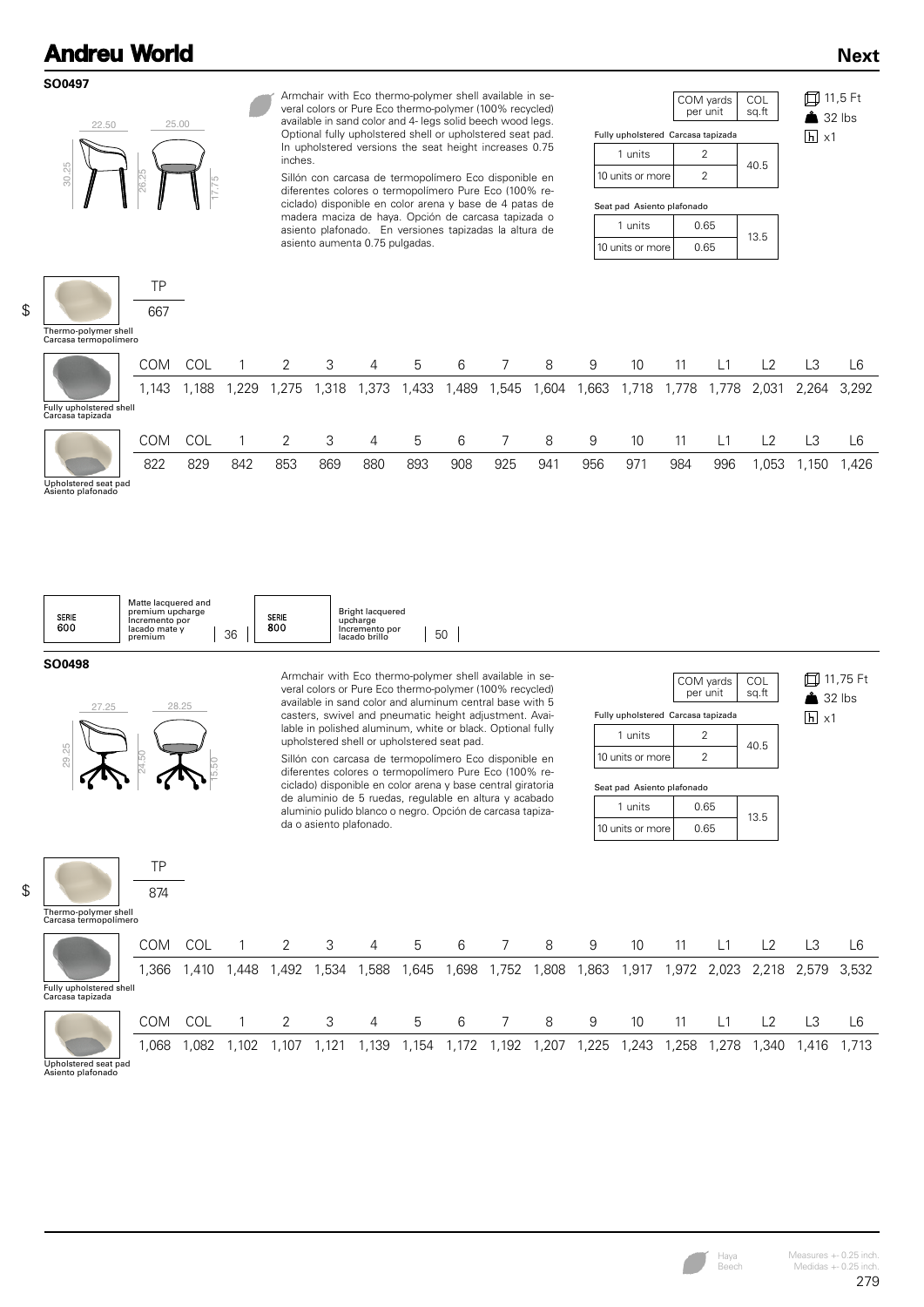**SO0497**

TP

Armchair with Eco thermo-polymer shell available in several colors or Pure Eco thermo-polymer (100% recycled) available in sand color and 4- legs solid beech wood legs. Optional fully upholstered shell or upholstered seat pad. In upholstered versions the seat height increases 0.75 inches.

Sillón con carcasa de termopolímero Eco disponible en diferentes colores o termopolímero Pure Eco (100% reciclado) disponible en color arena y base de 4 patas de madera maciza de haya. Opción de carcasa tapizada o asiento plafonado. En versiones tapizadas la altura de asiento aumenta 0.75 pulgadas.

|                                    | COM yards<br>per unit | COL<br>$\overline{sq}$ .ft |  |  |  |  |  |
|------------------------------------|-----------------------|----------------------------|--|--|--|--|--|
| Fully upholstered Carcasa tapizada |                       |                            |  |  |  |  |  |
| 1 units                            |                       | 40.5                       |  |  |  |  |  |
| 10 units or more                   |                       |                            |  |  |  |  |  |

0.65

13.5

10 units or more

1 units 0.65

Seat pad Asiento plafonado

|                   | 口 11,5 Ft          |
|-------------------|--------------------|
|                   | $\triangle$ 32 lbs |
| $\overline{h}$ x1 |                    |

**Next**

| i |  |
|---|--|

 $\mathbf{I}$ 

|                      | 667 |
|----------------------|-----|
| Thermo-polymer shell |     |

| Carcasa termopolímero                       |            |             |       |         |      |                |        |       |       |       |       |       |       |       |       |             |      |
|---------------------------------------------|------------|-------------|-------|---------|------|----------------|--------|-------|-------|-------|-------|-------|-------|-------|-------|-------------|------|
|                                             | <b>COM</b> | COL         |       |         | 3    | $\overline{4}$ | 5      | - 6   | 7     | 8     | 9     | 10    | 11    | L1    | L2    | L3          | L6   |
|                                             |            | 1,143 1,188 | 1,229 | 1,275 1 | ,318 | 1,373          | 433، ، | 1,489 | 1,545 | 1,604 | 1,663 | 1,718 | 1,778 | 1,778 | 2,031 | 2,264 3,292 |      |
| Fully upholstered shell<br>Carcasa tapizada |            |             |       |         |      |                |        |       |       |       |       |       |       |       |       |             |      |
|                                             | COM        | COL         |       |         | 3    | $\overline{4}$ | 5      | 6     | 7     | 8     | 9     | 10    | 11    | L1    | L2    | L3          | L6   |
|                                             | 822        | 829         | 842   | 853     | 869  | 880            | 893    | 908   | 925   | 941   | 956   | 971   | 984   | 996   | ,053  | .150        | .426 |
| I Inholstered seat nad                      |            |             |       |         |      |                |        |       |       |       |       |       |       |       |       |             |      |

Upholstered seat pad Asiento plafonado

| SERIE<br>600 | Matte lacquered and<br>premium upcharge<br>Incremento por<br>lacado mate v<br>premium | 36 | <b>SERIE</b><br>800 | <b>Bright lacquered</b><br>upcharge<br>Incremento por<br>lacado brillo | 50 |
|--------------|---------------------------------------------------------------------------------------|----|---------------------|------------------------------------------------------------------------|----|
|--------------|---------------------------------------------------------------------------------------|----|---------------------|------------------------------------------------------------------------|----|

#### **SO0498**



Armchair with Eco thermo-polymer shell available in several colors or Pure Eco thermo-polymer (100% recycled) available in sand color and aluminum central base with 5 casters, swivel and pneumatic height adjustment. Available in polished aluminum, white or black. Optional fully upholstered shell or upholstered seat pad.

Sillón con carcasa de termopolímero Eco disponible en diferentes colores o termopolímero Pure Eco (100% reciclado) disponible en color arena y base central giratoria de aluminio de 5 ruedas, regulable en altura y acabado aluminio pulido blanco o negro. Opción de carcasa tapizada o asiento plafonado.

|                                    | COM yards<br>per unit | COL<br>sq.ft |  |  |  |  |  |  |  |  |
|------------------------------------|-----------------------|--------------|--|--|--|--|--|--|--|--|
| Fully upholstered Carcasa tapizada |                       |              |  |  |  |  |  |  |  |  |
| 1 units                            |                       |              |  |  |  |  |  |  |  |  |
| 40.5<br>10 units or more           |                       |              |  |  |  |  |  |  |  |  |
| Seat pad Asiento plafonado         |                       |              |  |  |  |  |  |  |  |  |

0.65

13.5

10 units or more

1 units 0.65

11,75 Ft **32** lbs  $h \times 1$ 

\$

TP 874

Thermo-polymer shell Carcasa termopolímero

|                                             | <b>COM</b> | COL     |       | 2     | -3    | 4              | 5           | -6          | $\sqrt{2}$  | 8     | 9     | 10    | 11    | L1    | L <sub>2</sub> | L3.                           | L6          |
|---------------------------------------------|------------|---------|-------|-------|-------|----------------|-------------|-------------|-------------|-------|-------|-------|-------|-------|----------------|-------------------------------|-------------|
|                                             | .366       | 1.410 1 | .448  | 1,492 | 1,534 | 1,588          | 1,645       |             | 1,698 1,752 | 1,808 | 1,863 | 1,917 |       |       |                | 1,972 2,023 2,218 2,579 3,532 |             |
| Fully upholstered shell<br>Carcasa tapizada |            |         |       |       |       |                |             |             |             |       |       |       |       |       |                |                               |             |
|                                             | COM        | COL     |       | 1 2 3 |       | $\overline{4}$ |             | 5 6         |             | 7 8 9 |       | 10    | 11    | L1    | L2             |                               | L6          |
|                                             | .068       | .082    | 1,102 | l.107 | .121  |                | 1,139 1,154 | 1,172 1,192 |             | 1,207 | 1,225 | 1,243 | 1,258 | 1,278 | ,340           |                               | 1,416 1,713 |
| Upholstered seat pad<br>Antoneo platopoda   |            |         |       |       |       |                |             |             |             |       |       |       |       |       |                |                               |             |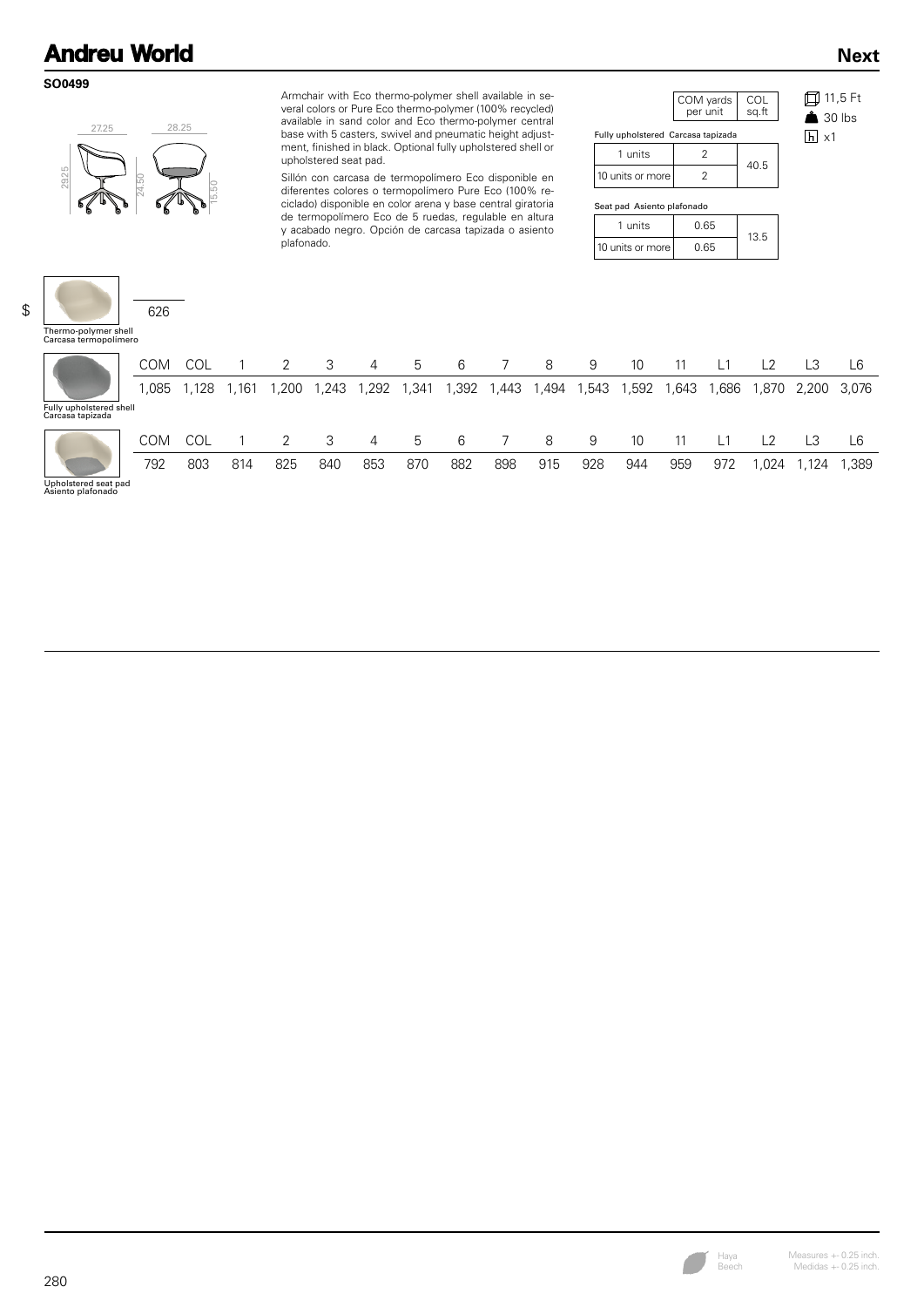27.25 28.25

24.50

┑

15.50

#### **SO0499**

29.25

\$

 $\Gamma$ 

**Contract Contract** 

Armchair with Eco thermo-polymer shell available in several colors or Pure Eco thermo-polymer (100% recycled) available in sand color and Eco thermo-polymer central base with 5 casters, swivel and pneumatic height adjustment, finished in black. Optional fully upholstered shell or upholstered seat pad.

Sillón con carcasa de termopolímero Eco disponible en diferentes colores o termopolímero Pure Eco (100% reciclado) disponible en color arena y base central giratoria de termopolímero Eco de 5 ruedas, regulable en altura y acabado negro. Opción de carcasa tapizada o asiento plafonado.

|                                    | COM yards<br>per unit | COL<br>sg.ft |  |  |  |  |  |  |  |
|------------------------------------|-----------------------|--------------|--|--|--|--|--|--|--|
| Fully upholstered Carcasa tapizada |                       |              |  |  |  |  |  |  |  |
| 1 units                            | 2                     |              |  |  |  |  |  |  |  |
| 10 units or more                   | 2                     | 40.5         |  |  |  |  |  |  |  |

0.65

13.5

10 units or more

1 units 0.65

Seat pad Asiento plafonado

11,5 Ft **4** 30 lbs  $h \times 1$ 

|                                               | 626     |  |  |
|-----------------------------------------------|---------|--|--|
| Thermo-polymer shell<br>Carcasa termopolímero |         |  |  |
|                                               | COM COL |  |  |

|                                             | <b>COM</b> | COL   |       |      |      | 4    | 5    | 6    |       | 8     | 9    | 10   |      |      |       |                   | ∟6    |
|---------------------------------------------|------------|-------|-------|------|------|------|------|------|-------|-------|------|------|------|------|-------|-------------------|-------|
|                                             | 1.085      | 1,128 | 1,161 | ,200 | ,243 | ,292 | ,341 | ,392 | 1,443 | 1,494 | ,543 | ,592 | ,643 | ,686 |       | 1,870 2,200 3,076 |       |
| Fully upholstered shell<br>Carcasa tapizada |            |       |       |      |      |      |      |      |       |       |      |      |      |      |       |                   |       |
|                                             | <b>COM</b> | COL   |       |      | 3    | 4    | 5    | 6    |       | 8     | 9    | 10   | 11   | L1   |       |                   | -6    |
|                                             | 792        | 803   | 814   | 825  | 840  | 853  | 870  | 882  | 898   | 915   | 928  | 944  | 959  | 972  | 1,024 | 1.124             | 1,389 |
| Upholstered seat pad<br>Asiento plafonado   |            |       |       |      |      |      |      |      |       |       |      |      |      |      |       |                   |       |

### Haya Beech